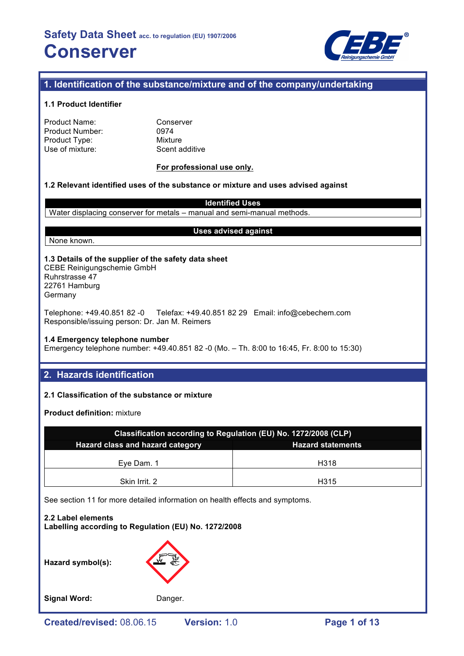

# **1. Identification of the substance/mixture and of the company/undertaking**

#### **1.1 Product Identifier**

| Product Name:   |  |
|-----------------|--|
| Product Number: |  |
| Product Type:   |  |
| Use of mixture: |  |

Conserver 0974 **Mixture** Scent additive

#### **For professional use only.**

### **1.2 Relevant identified uses of the substance or mixture and uses advised against**

**Identified Uses**

Water displacing conserver for metals – manual and semi-manual methods.

None known.

#### **Uses advised against**

**1.3 Details of the supplier of the safety data sheet** CEBE Reinigungschemie GmbH Ruhrstrasse 47 22761 Hamburg

Germany

Telephone: +49.40.851 82 -0 Telefax: +49.40.851 82 29 Email: info@cebechem.com Responsible/issuing person: Dr. Jan M. Reimers

#### **1.4 Emergency telephone number**

Emergency telephone number: +49.40.851 82 -0 (Mo. – Th. 8:00 to 16:45, Fr. 8:00 to 15:30)

# **2. Hazards identification**

#### **2.1 Classification of the substance or mixture**

**Product definition:** mixture

| Classification according to Regulation (EU) No. 1272/2008 (CLP) |      |  |  |
|-----------------------------------------------------------------|------|--|--|
| Hazard class and hazard category<br><b>Hazard statements</b>    |      |  |  |
| Eve Dam, 1                                                      | H318 |  |  |
| Skin Irrit. 2                                                   | H315 |  |  |

See section 11 for more detailed information on health effects and symptoms.

**2.2 Label elements Labelling according to Regulation (EU) No. 1272/2008**

**Hazard symbol(s):**

Signal Word: Danger.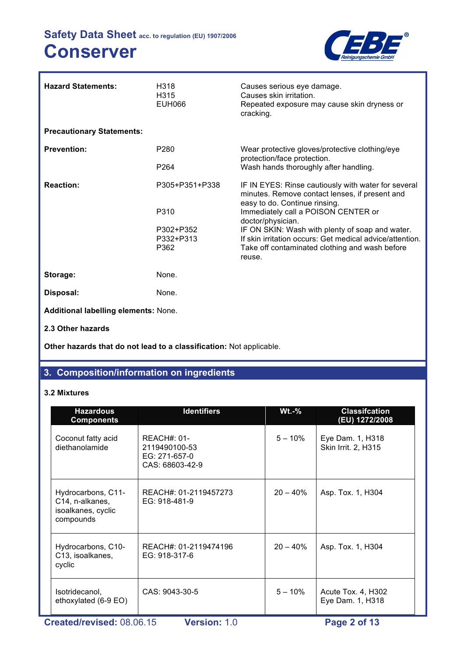

| <b>Hazard Statements:</b>                   | H318<br>H315<br><b>EUH066</b> | Causes serious eye damage.<br>Causes skin irritation.<br>Repeated exposure may cause skin dryness or<br>cracking.                      |
|---------------------------------------------|-------------------------------|----------------------------------------------------------------------------------------------------------------------------------------|
| <b>Precautionary Statements:</b>            |                               |                                                                                                                                        |
| <b>Prevention:</b>                          | P <sub>280</sub>              | Wear protective gloves/protective clothing/eye<br>protection/face protection.                                                          |
|                                             | P <sub>264</sub>              | Wash hands thoroughly after handling.                                                                                                  |
| <b>Reaction:</b>                            | P305+P351+P338                | IF IN EYES: Rinse cautiously with water for several<br>minutes. Remove contact lenses, if present and<br>easy to do. Continue rinsing. |
|                                             | P310                          | Immediately call a POISON CENTER or<br>doctor/physician.                                                                               |
|                                             | P302+P352<br>P332+P313        | IF ON SKIN: Wash with plenty of soap and water.<br>If skin irritation occurs: Get medical advice/attention.                            |
|                                             | P362                          | Take off contaminated clothing and wash before<br>reuse.                                                                               |
| Storage:                                    | None.                         |                                                                                                                                        |
| Disposal:                                   | None.                         |                                                                                                                                        |
| <b>Additional labelling elements: None.</b> |                               |                                                                                                                                        |
| 2.3 Other hazards                           |                               |                                                                                                                                        |

**Other hazards that do not lead to a classification:** Not applicable.

# **3. Composition/information on ingredients**

# **3.2 Mixtures**

| <b>Hazardous</b><br><b>Components</b>                                    | <b>Identifiers</b>                                                 | $Wt.-%$    | <b>Classifcation</b><br>(EU) 1272/2008  |  |
|--------------------------------------------------------------------------|--------------------------------------------------------------------|------------|-----------------------------------------|--|
| Coconut fatty acid<br>diethanolamide                                     | $REACH#: 01-$<br>2119490100-53<br>EG: 271-657-0<br>CAS: 68603-42-9 | $5 - 10\%$ | Eye Dam. 1, H318<br>Skin Irrit. 2, H315 |  |
| Hydrocarbons, C11-<br>C14, n-alkanes,<br>isoalkanes, cyclic<br>compounds | REACH#: 01-2119457273<br>EG: 918-481-9                             | $20 - 40%$ | Asp. Tox. 1, H304                       |  |
| Hydrocarbons, C10-<br>C <sub>13</sub> , isoalkanes,<br>cyclic            | REACH#: 01-2119474196<br>EG: 918-317-6                             | $20 - 40%$ | Asp. Tox. 1, H304                       |  |
| Isotridecanol,<br>ethoxylated (6-9 EO)                                   | CAS: 9043-30-5                                                     | $5 - 10%$  | Acute Tox. 4, H302<br>Eye Dam. 1, H318  |  |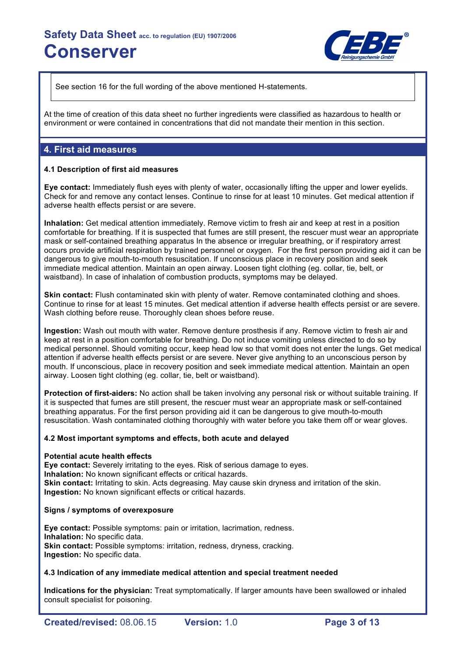

See section 16 for the full wording of the above mentioned H-statements.

At the time of creation of this data sheet no further ingredients were classified as hazardous to health or environment or were contained in concentrations that did not mandate their mention in this section.

# **4. First aid measures**

#### **4.1 Description of first aid measures**

**Eye contact:** Immediately flush eyes with plenty of water, occasionally lifting the upper and lower eyelids. Check for and remove any contact lenses. Continue to rinse for at least 10 minutes. Get medical attention if adverse health effects persist or are severe.

**Inhalation:** Get medical attention immediately. Remove victim to fresh air and keep at rest in a position comfortable for breathing. If it is suspected that fumes are still present, the rescuer must wear an appropriate mask or self-contained breathing apparatus In the absence or irregular breathing, or if respiratory arrest occurs provide artificial respiration by trained personnel or oxygen. For the first person providing aid it can be dangerous to give mouth-to-mouth resuscitation. If unconscious place in recovery position and seek immediate medical attention. Maintain an open airway. Loosen tight clothing (eg. collar, tie, belt, or waistband). In case of inhalation of combustion products, symptoms may be delayed.

**Skin contact:** Flush contaminated skin with plenty of water. Remove contaminated clothing and shoes. Continue to rinse for at least 15 minutes. Get medical attention if adverse health effects persist or are severe. Wash clothing before reuse. Thoroughly clean shoes before reuse.

**Ingestion:** Wash out mouth with water. Remove denture prosthesis if any. Remove victim to fresh air and keep at rest in a position comfortable for breathing. Do not induce vomiting unless directed to do so by medical personnel. Should vomiting occur, keep head low so that vomit does not enter the lungs. Get medical attention if adverse health effects persist or are severe. Never give anything to an unconscious person by mouth. If unconscious, place in recovery position and seek immediate medical attention. Maintain an open airway. Loosen tight clothing (eg. collar, tie, belt or waistband).

**Protection of first-aiders:** No action shall be taken involving any personal risk or without suitable training. If it is suspected that fumes are still present, the rescuer must wear an appropriate mask or self-contained breathing apparatus. For the first person providing aid it can be dangerous to give mouth-to-mouth resuscitation. Wash contaminated clothing thoroughly with water before you take them off or wear gloves.

#### **4.2 Most important symptoms and effects, both acute and delayed**

#### **Potential acute health effects**

**Eye contact:** Severely irritating to the eyes. Risk of serious damage to eyes. **Inhalation:** No known significant effects or critical hazards. **Skin contact:** Irritating to skin. Acts degreasing. May cause skin dryness and irritation of the skin. **Ingestion:** No known significant effects or critical hazards.

#### **Signs / symptoms of overexposure**

**Eye contact:** Possible symptoms: pain or irritation, lacrimation, redness. **Inhalation:** No specific data. **Skin contact:** Possible symptoms: irritation, redness, dryness, cracking. **Ingestion:** No specific data.

#### **4.3 Indication of any immediate medical attention and special treatment needed**

**Indications for the physician:** Treat symptomatically. If larger amounts have been swallowed or inhaled consult specialist for poisoning.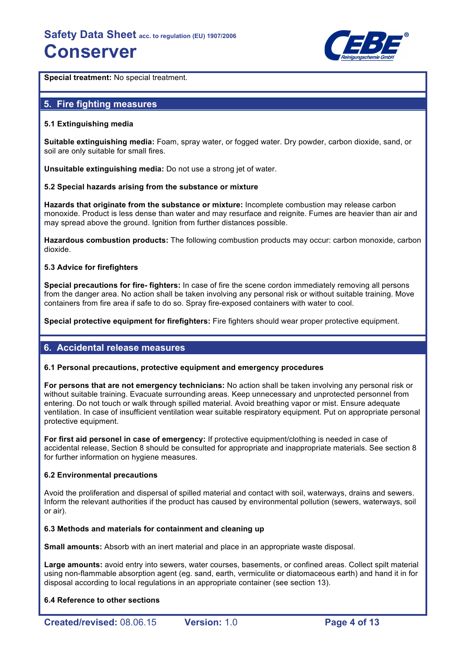

**Special treatment:** No special treatment.

# **5. Fire fighting measures**

#### **5.1 Extinguishing media**

**Suitable extinguishing media:** Foam, spray water, or fogged water. Dry powder, carbon dioxide, sand, or soil are only suitable for small fires.

**Unsuitable extinguishing media:** Do not use a strong jet of water.

#### **5.2 Special hazards arising from the substance or mixture**

**Hazards that originate from the substance or mixture:** Incomplete combustion may release carbon monoxide. Product is less dense than water and may resurface and reignite. Fumes are heavier than air and may spread above the ground. Ignition from further distances possible.

**Hazardous combustion products:** The following combustion products may occur: carbon monoxide, carbon dioxide.

#### **5.3 Advice for firefighters**

**Special precautions for fire- fighters:** In case of fire the scene cordon immediately removing all persons from the danger area. No action shall be taken involving any personal risk or without suitable training. Move containers from fire area if safe to do so. Spray fire-exposed containers with water to cool.

**Special protective equipment for firefighters:** Fire fighters should wear proper protective equipment.

# **6. Accidental release measures**

#### **6.1 Personal precautions, protective equipment and emergency procedures**

**For persons that are not emergency technicians:** No action shall be taken involving any personal risk or without suitable training. Evacuate surrounding areas. Keep unnecessary and unprotected personnel from entering. Do not touch or walk through spilled material. Avoid breathing vapor or mist. Ensure adequate ventilation. In case of insufficient ventilation wear suitable respiratory equipment. Put on appropriate personal protective equipment.

**For first aid personel in case of emergency:** If protective equipment/clothing is needed in case of accidental release, Section 8 should be consulted for appropriate and inappropriate materials. See section 8 for further information on hygiene measures.

#### **6.2 Environmental precautions**

Avoid the proliferation and dispersal of spilled material and contact with soil, waterways, drains and sewers. Inform the relevant authorities if the product has caused by environmental pollution (sewers, waterways, soil or air).

#### **6.3 Methods and materials for containment and cleaning up**

**Small amounts:** Absorb with an inert material and place in an appropriate waste disposal.

**Large amounts:** avoid entry into sewers, water courses, basements, or confined areas. Collect spilt material using non-flammable absorption agent (eg. sand, earth, vermiculite or diatomaceous earth) and hand it in for disposal according to local regulations in an appropriate container (see section 13).

#### **6.4 Reference to other sections**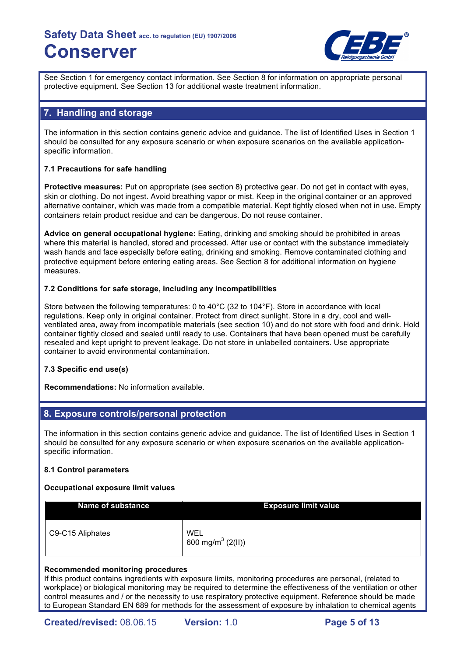

See Section 1 for emergency contact information. See Section 8 for information on appropriate personal protective equipment. See Section 13 for additional waste treatment information.

# **7. Handling and storage**

The information in this section contains generic advice and guidance. The list of Identified Uses in Section 1 should be consulted for any exposure scenario or when exposure scenarios on the available applicationspecific information.

### **7.1 Precautions for safe handling**

**Protective measures:** Put on appropriate (see section 8) protective gear. Do not get in contact with eyes, skin or clothing. Do not ingest. Avoid breathing vapor or mist. Keep in the original container or an approved alternative container, which was made from a compatible material. Kept tightly closed when not in use. Empty containers retain product residue and can be dangerous. Do not reuse container.

**Advice on general occupational hygiene:** Eating, drinking and smoking should be prohibited in areas where this material is handled, stored and processed. After use or contact with the substance immediately wash hands and face especially before eating, drinking and smoking. Remove contaminated clothing and protective equipment before entering eating areas. See Section 8 for additional information on hygiene measures.

#### **7.2 Conditions for safe storage, including any incompatibilities**

Store between the following temperatures: 0 to 40°C (32 to 104°F). Store in accordance with local regulations. Keep only in original container. Protect from direct sunlight. Store in a dry, cool and wellventilated area, away from incompatible materials (see section 10) and do not store with food and drink. Hold container tightly closed and sealed until ready to use. Containers that have been opened must be carefully resealed and kept upright to prevent leakage. Do not store in unlabelled containers. Use appropriate container to avoid environmental contamination.

#### **7.3 Specific end use(s)**

**Recommendations:** No information available.

# **8. Exposure controls/personal protection**

The information in this section contains generic advice and guidance. The list of Identified Uses in Section 1 should be consulted for any exposure scenario or when exposure scenarios on the available applicationspecific information.

#### **8.1 Control parameters**

#### **Occupational exposure limit values**

| <b>Name of substance</b> | <b>Exposure limit value</b>          |
|--------------------------|--------------------------------------|
| C9-C15 Aliphates         | WEL<br>600 mg/m <sup>3</sup> (2(II)) |

#### **Recommended monitoring procedures**

If this product contains ingredients with exposure limits, monitoring procedures are personal, (related to workplace) or biological monitoring may be required to determine the effectiveness of the ventilation or other control measures and / or the necessity to use respiratory protective equipment. Reference should be made to European Standard EN 689 for methods for the assessment of exposure by inhalation to chemical agents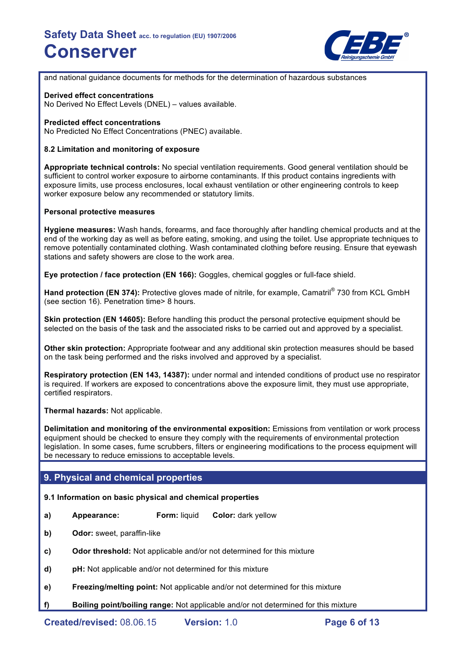

and national guidance documents for methods for the determination of hazardous substances

#### **Derived effect concentrations**

No Derived No Effect Levels (DNEL) – values available.

#### **Predicted effect concentrations**

No Predicted No Effect Concentrations (PNEC) available.

### **8.2 Limitation and monitoring of exposure**

**Appropriate technical controls:** No special ventilation requirements. Good general ventilation should be sufficient to control worker exposure to airborne contaminants. If this product contains ingredients with exposure limits, use process enclosures, local exhaust ventilation or other engineering controls to keep worker exposure below any recommended or statutory limits.

#### **Personal protective measures**

**Hygiene measures:** Wash hands, forearms, and face thoroughly after handling chemical products and at the end of the working day as well as before eating, smoking, and using the toilet. Use appropriate techniques to remove potentially contaminated clothing. Wash contaminated clothing before reusing. Ensure that eyewash stations and safety showers are close to the work area.

**Eye protection / face protection (EN 166):** Goggles, chemical goggles or full-face shield.

**Hand protection (EN 374):** Protective gloves made of nitrile, for example, Camatril® 730 from KCL GmbH (see section 16). Penetration time> 8 hours.

**Skin protection (EN 14605):** Before handling this product the personal protective equipment should be selected on the basis of the task and the associated risks to be carried out and approved by a specialist.

**Other skin protection:** Appropriate footwear and any additional skin protection measures should be based on the task being performed and the risks involved and approved by a specialist.

**Respiratory protection (EN 143, 14387):** under normal and intended conditions of product use no respirator is required. If workers are exposed to concentrations above the exposure limit, they must use appropriate, certified respirators.

**Thermal hazards:** Not applicable.

**Delimitation and monitoring of the environmental exposition:** Emissions from ventilation or work process equipment should be checked to ensure they comply with the requirements of environmental protection legislation. In some cases, fume scrubbers, filters or engineering modifications to the process equipment will be necessary to reduce emissions to acceptable levels.

# **9. Physical and chemical properties**

#### **9.1 Information on basic physical and chemical properties**

- **a) Appearance: Form:** liquid **Color:** dark yellow
- **b) Odor:** sweet, paraffin-like
- **c) Odor threshold:** Not applicable and/or not determined for this mixture
- **d) pH:** Not applicable and/or not determined for this mixture
- **e) Freezing/melting point:** Not applicable and/or not determined for this mixture
- **f) Boiling point/boiling range:** Not applicable and/or not determined for this mixture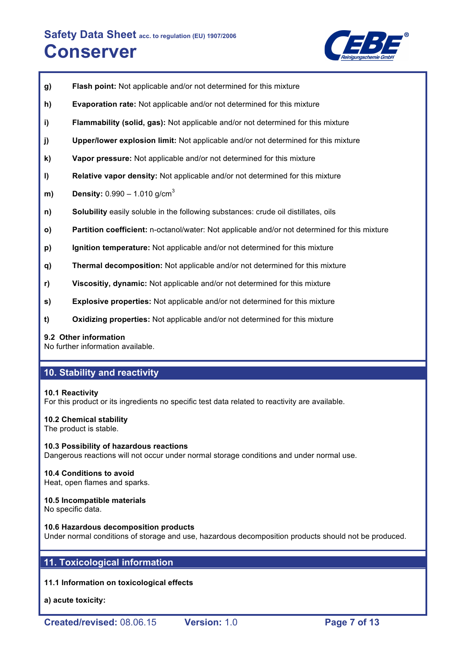

- **g) Flash point:** Not applicable and/or not determined for this mixture
- **h) Evaporation rate:** Not applicable and/or not determined for this mixture
- **i) Flammability (solid, gas):** Not applicable and/or not determined for this mixture
- **j) Upper/lower explosion limit:** Not applicable and/or not determined for this mixture
- **k) Vapor pressure:** Not applicable and/or not determined for this mixture
- **l) Relative vapor density:** Not applicable and/or not determined for this mixture
- **m) Density:** 0.990 1.010 g/cm<sup>3</sup>
- **n) Solubility** easily soluble in the following substances: crude oil distillates, oils
- **o) Partition coefficient:** n-octanol/water: Not applicable and/or not determined for this mixture
- **p) Ignition temperature:** Not applicable and/or not determined for this mixture
- **q) Thermal decomposition:** Not applicable and/or not determined for this mixture
- **r) Viscositiy, dynamic:** Not applicable and/or not determined for this mixture
- **s) Explosive properties:** Not applicable and/or not determined for this mixture
- **t) Oxidizing properties:** Not applicable and/or not determined for this mixture

#### **9.2 Other information**

No further information available.

# **10. Stability and reactivity**

#### **10.1 Reactivity**

For this product or its ingredients no specific test data related to reactivity are available.

#### **10.2 Chemical stability**

The product is stable.

**10.3 Possibility of hazardous reactions** Dangerous reactions will not occur under normal storage conditions and under normal use.

#### **10.4 Conditions to avoid**

Heat, open flames and sparks.

#### **10.5 Incompatible materials**

No specific data.

#### **10.6 Hazardous decomposition products**

Under normal conditions of storage and use, hazardous decomposition products should not be produced.

# **11. Toxicological information**

#### **11.1 Information on toxicological effects**

**a) acute toxicity:**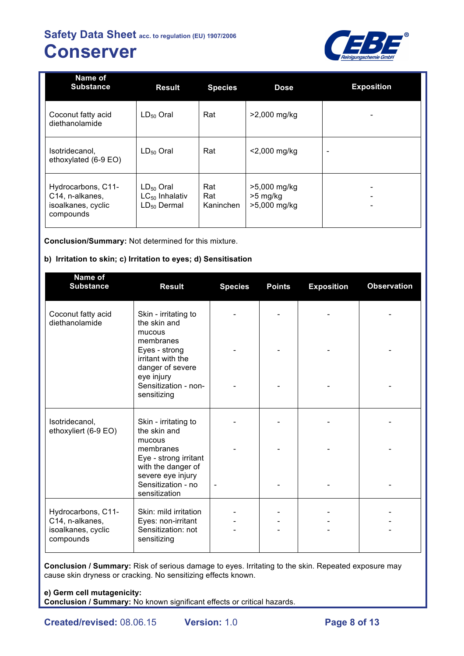

| Name of<br><b>Substance</b>                                                           | <b>Result</b>                                             | <b>Species</b>          | <b>Dose</b>                                | <b>Exposition</b>        |
|---------------------------------------------------------------------------------------|-----------------------------------------------------------|-------------------------|--------------------------------------------|--------------------------|
| Coconut fatty acid<br>diethanolamide                                                  | $LD_{50}$ Oral                                            | Rat                     | >2,000 mg/kg                               |                          |
| Isotridecanol,<br>ethoxylated (6-9 EO)                                                | $LD_{50}$ Oral                                            | Rat                     | $<$ 2,000 mg/kg                            | $\overline{\phantom{a}}$ |
| Hydrocarbons, C11-<br>C <sub>14</sub> , n-alkanes,<br>isoalkanes, cyclic<br>compounds | $LD_{50}$ Oral<br>$LC_{50}$ Inhalativ<br>$LD_{50}$ Dermal | Rat<br>Rat<br>Kaninchen | >5,000 mg/kg<br>$>5$ mg/kg<br>>5,000 mg/kg | ٠                        |

**Conclusion/Summary:** Not determined for this mixture.

# **b) Irritation to skin; c) Irritation to eyes; d) Sensitisation**

| <b>Result</b>                                                                    | <b>Species</b>                                               | <b>Points</b> | <b>Exposition</b> | <b>Observation</b> |
|----------------------------------------------------------------------------------|--------------------------------------------------------------|---------------|-------------------|--------------------|
| Skin - irritating to<br>the skin and<br>mucous                                   |                                                              |               |                   |                    |
| Eyes - strong<br>irritant with the                                               |                                                              |               |                   |                    |
| eye injury<br>Sensitization - non-<br>sensitizing                                |                                                              |               |                   |                    |
| Skin - irritating to<br>the skin and                                             |                                                              |               |                   |                    |
| membranes<br>Eye - strong irritant<br>with the danger of                         |                                                              |               |                   |                    |
| Sensitization - no<br>sensitization                                              |                                                              |               |                   |                    |
| Skin: mild irritation<br>Eyes: non-irritant<br>Sensitization: not<br>sensitizing |                                                              |               |                   |                    |
|                                                                                  | membranes<br>danger of severe<br>mucous<br>severe eye injury |               |                   |                    |

**Conclusion / Summary:** Risk of serious damage to eyes. Irritating to the skin. Repeated exposure may cause skin dryness or cracking. No sensitizing effects known.

# **e) Germ cell mutagenicity:**

**Conclusion / Summary:** No known significant effects or critical hazards.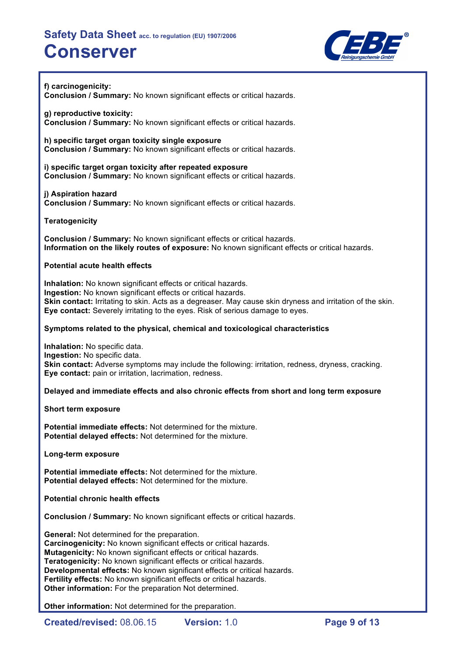

**f) carcinogenicity: Conclusion / Summary:** No known significant effects or critical hazards.

**g) reproductive toxicity: Conclusion / Summary:** No known significant effects or critical hazards.

**h) specific target organ toxicity single exposure Conclusion / Summary:** No known significant effects or critical hazards.

**i) specific target organ toxicity after repeated exposure Conclusion / Summary:** No known significant effects or critical hazards.

**j) Aspiration hazard Conclusion / Summary:** No known significant effects or critical hazards.

**Teratogenicity**

**Conclusion / Summary:** No known significant effects or critical hazards. **Information on the likely routes of exposure:** No known significant effects or critical hazards.

### **Potential acute health effects**

**Inhalation:** No known significant effects or critical hazards. **Ingestion:** No known significant effects or critical hazards. **Skin contact:** Irritating to skin. Acts as a degreaser. May cause skin dryness and irritation of the skin. **Eye contact:** Severely irritating to the eyes. Risk of serious damage to eyes.

### **Symptoms related to the physical, chemical and toxicological characteristics**

**Inhalation:** No specific data. **Ingestion:** No specific data. **Skin contact:** Adverse symptoms may include the following: irritation, redness, dryness, cracking. **Eye contact:** pain or irritation, lacrimation, redness.

**Delayed and immediate effects and also chronic effects from short and long term exposure**

**Short term exposure**

**Potential immediate effects:** Not determined for the mixture. **Potential delayed effects:** Not determined for the mixture.

**Long-term exposure**

**Potential immediate effects:** Not determined for the mixture. **Potential delayed effects:** Not determined for the mixture.

**Potential chronic health effects**

**Conclusion / Summary:** No known significant effects or critical hazards.

**General:** Not determined for the preparation. **Carcinogenicity:** No known significant effects or critical hazards. **Mutagenicity:** No known significant effects or critical hazards. **Teratogenicity:** No known significant effects or critical hazards. **Developmental effects:** No known significant effects or critical hazards. **Fertility effects:** No known significant effects or critical hazards. **Other information:** For the preparation Not determined.

**Other information:** Not determined for the preparation.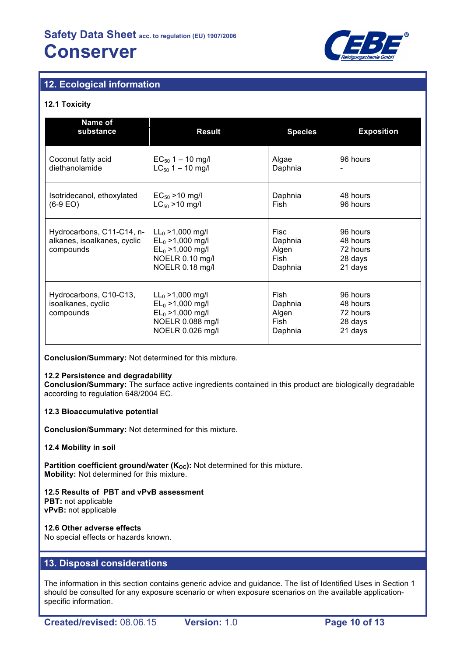

# **12. Ecological information**

### **12.1 Toxicity**

| Name of<br>substance                                                                                                                                                             | <b>Result</b>                                                                                             | <b>Species</b>                              | <b>Exposition</b>                                      |
|----------------------------------------------------------------------------------------------------------------------------------------------------------------------------------|-----------------------------------------------------------------------------------------------------------|---------------------------------------------|--------------------------------------------------------|
| Coconut fatty acid<br>diethanolamide                                                                                                                                             | $EC_{50}$ 1 – 10 mg/l<br>$LC_{50}$ 1 – 10 mg/l                                                            | Algae<br>Daphnia                            | 96 hours                                               |
| Isotridecanol, ethoxylated<br>(6-9 EO)                                                                                                                                           | $EC_{50} > 10$ mg/l<br>$LC_{50}$ >10 mg/l                                                                 | Daphnia<br>Fish                             | 48 hours<br>96 hours                                   |
| Hydrocarbons, C11-C14, n-<br>$LL_0 > 1,000$ mg/l<br>alkanes, isoalkanes, cyclic<br>$EL_0 > 1,000$ mg/l<br>$EL_0 > 1,000$ mg/l<br>compounds<br>NOELR 0.10 mg/l<br>NOELR 0.18 mg/l |                                                                                                           | Fisc<br>Daphnia<br>Algen<br>Fish<br>Daphnia | 96 hours<br>48 hours<br>72 hours<br>28 days<br>21 days |
| Hydrocarbons, C10-C13,<br>isoalkanes, cyclic<br>compounds                                                                                                                        | $LL_0 > 1,000$ mg/l<br>$EL_0 > 1,000$ mg/l<br>$EL_0 > 1,000$ mg/l<br>NOELR 0.088 mg/l<br>NOELR 0.026 mg/l | Fish<br>Daphnia<br>Algen<br>Fish<br>Daphnia | 96 hours<br>48 hours<br>72 hours<br>28 days<br>21 days |

**Conclusion/Summary:** Not determined for this mixture.

#### **12.2 Persistence and degradability**

**Conclusion/Summary:** The surface active ingredients contained in this product are biologically degradable according to regulation 648/2004 EC.

#### **12.3 Bioaccumulative potential**

**Conclusion/Summary:** Not determined for this mixture.

#### **12.4 Mobility in soil**

**Partition coefficient ground/water (K<sub>OC</sub>):** Not determined for this mixture. **Mobility:** Not determined for this mixture.

# **12.5 Results of PBT and vPvB assessment**

**PBT:** not applicable **vPvB:** not applicable

**12.6 Other adverse effects**

No special effects or hazards known.

# **13. Disposal considerations**

The information in this section contains generic advice and guidance. The list of Identified Uses in Section 1 should be consulted for any exposure scenario or when exposure scenarios on the available applicationspecific information.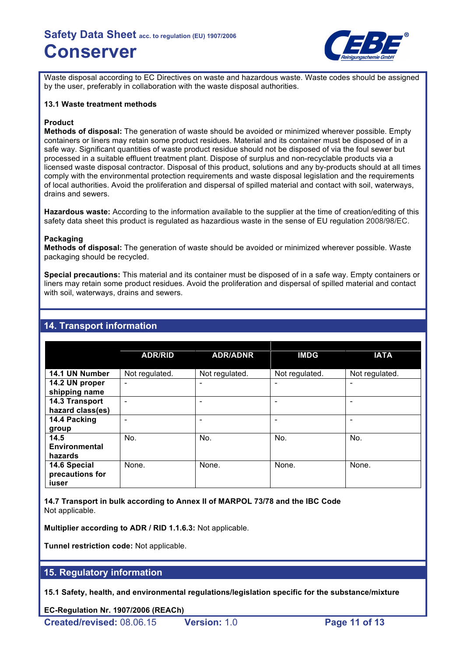

Waste disposal according to EC Directives on waste and hazardous waste. Waste codes should be assigned by the user, preferably in collaboration with the waste disposal authorities.

#### **13.1 Waste treatment methods**

#### **Product**

**Methods of disposal:** The generation of waste should be avoided or minimized wherever possible. Empty containers or liners may retain some product residues. Material and its container must be disposed of in a safe way. Significant quantities of waste product residue should not be disposed of via the foul sewer but processed in a suitable effluent treatment plant. Dispose of surplus and non-recyclable products via a licensed waste disposal contractor. Disposal of this product, solutions and any by-products should at all times comply with the environmental protection requirements and waste disposal legislation and the requirements of local authorities. Avoid the proliferation and dispersal of spilled material and contact with soil, waterways, drains and sewers.

**Hazardous waste:** According to the information available to the supplier at the time of creation/editing of this safety data sheet this product is regulated as hazardious waste in the sense of EU regulation 2008/98/EC.

#### **Packaging**

**Methods of disposal:** The generation of waste should be avoided or minimized wherever possible. Waste packaging should be recycled.

**Special precautions:** This material and its container must be disposed of in a safe way. Empty containers or liners may retain some product residues. Avoid the proliferation and dispersal of spilled material and contact with soil, waterways, drains and sewers.

|                                          | <b>ADR/RID</b>           | <b>ADR/ADNR</b> | <b>IMDG</b>    | <b>IATA</b>    |
|------------------------------------------|--------------------------|-----------------|----------------|----------------|
| 14.1 UN Number                           | Not regulated.           | Not regulated.  | Not regulated. | Not regulated. |
| 14.2 UN proper<br>shipping name          | ٠                        |                 |                |                |
| 14.3 Transport<br>hazard class(es)       | $\overline{\phantom{0}}$ |                 |                |                |
| 14.4 Packing<br>group                    |                          |                 |                |                |
| 14.5<br>Environmental<br>hazards         | No.                      | No.             | No.            | No.            |
| 14.6 Special<br>precautions for<br>iuser | None.                    | None.           | None.          | None.          |

### **14. Transport information**

**14.7 Transport in bulk according to Annex II of MARPOL 73/78 and the IBC Code** Not applicable.

**Multiplier according to ADR / RID 1.1.6.3:** Not applicable.

**Tunnel restriction code:** Not applicable.

# **15. Regulatory information**

**15.1 Safety, health, and environmental regulations/legislation specific for the substance/mixture**

**EC-Regulation Nr. 1907/2006 (REACh)**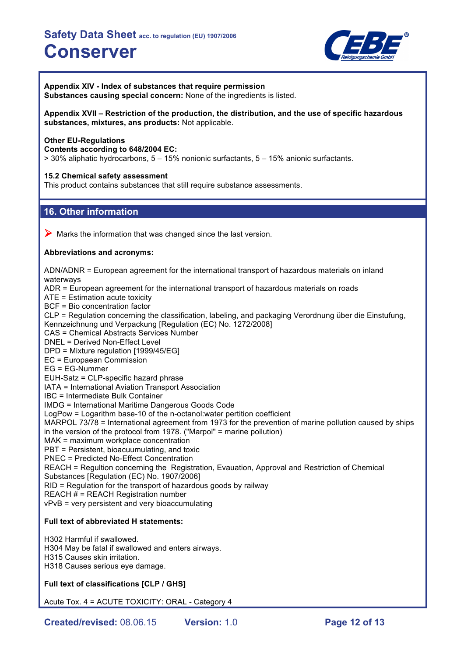

**Appendix XIV - Index of substances that require permission Substances causing special concern:** None of the ingredients is listed.

**Appendix XVII – Restriction of the production, the distribution, and the use of specific hazardous substances, mixtures, ans products:** Not applicable.

#### **Other EU-Regulations**

**Contents according to 648/2004 EC:**

> 30% aliphatic hydrocarbons, 5 – 15% nonionic surfactants, 5 – 15% anionic surfactants.

#### **15.2 Chemical safety assessment**

This product contains substances that still require substance assessments.

# **16. Other information**

 $\triangleright$  Marks the information that was changed since the last version.

#### **Abbreviations and acronyms:**

ADN/ADNR = European agreement for the international transport of hazardous materials on inland waterways ADR = European agreement for the international transport of hazardous materials on roads ATE = Estimation acute toxicity BCF = Bio concentration factor CLP = Regulation concerning the classification, labeling, and packaging Verordnung über die Einstufung, Kennzeichnung und Verpackung [Regulation (EC) No. 1272/2008] CAS = Chemical Abstracts Services Number DNEL = Derived Non-Effect Level DPD = Mixture regulation [1999/45/EG] EC = Europaean Commission EG = EG-Nummer EUH-Satz = CLP-specific hazard phrase IATA = International Aviation Transport Association IBC = Intermediate Bulk Container IMDG = International Maritime Dangerous Goods Code LogPow = Logarithm base-10 of the n-octanol:water pertition coefficient MARPOL 73/78 = International agreement from 1973 for the prevention of marine pollution caused by ships in the version of the protocol from 1978. ("Marpol" = marine pollution) MAK = maximum workplace concentration PBT = Persistent, bioacuumulating, and toxic PNEC = Predicted No-Effect Concentration REACH = Regultion concerning the Registration, Evauation, Approval and Restriction of Chemical Substances [Regulation (EC) No. 1907/2006] RID = Regulation for the transport of hazardous goods by railway REACH  $#$  = REACH Registration number vPvB = very persistent and very bioaccumulating **Full text of abbreviated H statements:**

H302 Harmful if swallowed. H304 May be fatal if swallowed and enters airways. H315 Causes skin irritation. H318 Causes serious eye damage.

#### **Full text of classifications [CLP / GHS]**

Acute Tox. 4 = ACUTE TOXICITY: ORAL - Category 4